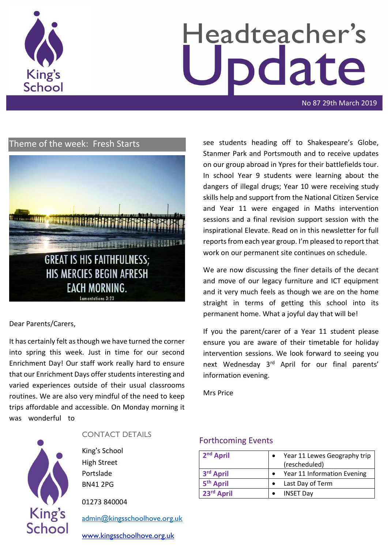

# Headteacher's pdate

No 87 29th March 2019

# Theme of the week: Fresh Starts



#### Dear Parents/Carers,

It has certainly felt as though we have turned the corner into spring this week. Just in time for our second Enrichment Day! Our staff work really hard to ensure that our Enrichment Days offer students interesting and varied experiences outside of their usual classrooms routines. We are also very mindful of the need to keep trips affordable and accessible. On Monday morning it was wonderful to



#### CONTACT DETAILS

King's School High Street Portslade BN41 2PG

01273 840004

[admin@kingsschoolhove.org.uk](mailto:admin@kingsschoolhove.org.uk)

[www.kingsschoolhove.org.uk](http://www.kingsschoolhove.org.uk/)

see students heading off to Shakespeare's Globe, Stanmer Park and Portsmouth and to receive updates on our group abroad in Ypres for their battlefields tour. In school Year 9 students were learning about the dangers of illegal drugs; Year 10 were receiving study skills help and support from the National Citizen Service and Year 11 were engaged in Maths intervention sessions and a final revision support session with the inspirational Elevate. Read on in this newsletter for full reports from each year group. I'm pleased to report that work on our permanent site continues on schedule.

We are now discussing the finer details of the decant and move of our legacy furniture and ICT equipment and it very much feels as though we are on the home straight in terms of getting this school into its permanent home. What a joyful day that will be!

If you the parent/carer of a Year 11 student please ensure you are aware of their timetable for holiday intervention sessions. We look forward to seeing you next Wednesday 3<sup>rd</sup> April for our final parents' information evening.

Mrs Price

#### Forthcoming Events

| 2 <sup>nd</sup> April | Year 11 Lewes Geography trip<br>(rescheduled) |
|-----------------------|-----------------------------------------------|
| 3 <sup>rd</sup> April | Year 11 Information Evening                   |
| 5 <sup>th</sup> April | Last Day of Term                              |
| 23rd April            | <b>INSET Day</b>                              |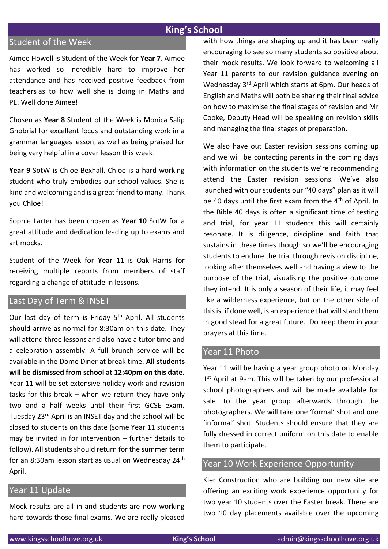## **King's School**

# Student of the Week

Aimee Howell is Student of the Week for **Year 7**. Aimee has worked so incredibly hard to improve her attendance and has received positive feedback from teachers as to how well she is doing in Maths and PE. Well done Aimee!

Chosen as **Year 8** Student of the Week is Monica Salip Ghobrial for excellent focus and outstanding work in a grammar languages lesson, as well as being praised for being very helpful in a cover lesson this week!

**Year 9** SotW is Chloe Bexhall. Chloe is a hard working student who truly embodies our school values. She is kind and welcoming and is a great friend to many. Thank you Chloe!

Sophie Larter has been chosen as **Year 10** SotW for a great attitude and dedication leading up to exams and art mocks.

Student of the Week for **Year 11** is Oak Harris for receiving multiple reports from members of staff regarding a change of attitude in lessons.

## Last Day of Term & INSET

Our last day of term is Friday 5<sup>th</sup> April. All students should arrive as normal for 8:30am on this date. They will attend three lessons and also have a tutor time and a celebration assembly. A full brunch service will be available in the Dome Diner at break time. **All students will be dismissed from school at 12:40pm on this date.**  Year 11 will be set extensive holiday work and revision tasks for this break – when we return they have only two and a half weeks until their first GCSE exam. Tuesday 23rd April is an INSET day and the school will be closed to students on this date (some Year 11 students may be invited in for intervention – further details to follow). All students should return for the summer term for an 8:30am lesson start as usual on Wednesday 24th April.

## Year 11 Update

Mock results are all in and students are now working hard towards those final exams. We are really pleased with how things are shaping up and it has been really encouraging to see so many students so positive about their mock results. We look forward to welcoming all Year 11 parents to our revision guidance evening on Wednesday 3rd April which starts at 6pm. Our heads of English and Maths will both be sharing their final advice on how to maximise the final stages of revision and Mr Cooke, Deputy Head will be speaking on revision skills and managing the final stages of preparation.

We also have out Easter revision sessions coming up and we will be contacting parents in the coming days with information on the students we're recommending attend the Easter revision sessions. We've also launched with our students our "40 days" plan as it will be 40 days until the first exam from the 4<sup>th</sup> of April. In the Bible 40 days is often a significant time of testing and trial, for year 11 students this will certainly resonate. It is diligence, discipline and faith that sustains in these times though so we'll be encouraging students to endure the trial through revision discipline, looking after themselves well and having a view to the purpose of the trial, visualising the positive outcome they intend. It is only a season of their life, it may feel like a wilderness experience, but on the other side of this is, if done well, is an experience that will stand them in good stead for a great future. Do keep them in your prayers at this time.

#### Year 11 Photo

Year 11 will be having a year group photo on Monday 1<sup>st</sup> April at 9am. This will be taken by our professional school photographers and will be made available for sale to the year group afterwards through the photographers. We will take one 'formal' shot and one 'informal' shot. Students should ensure that they are fully dressed in correct uniform on this date to enable them to participate.

#### Year 10 Work Experience Opportunity

Kier Construction who are building our new site are offering an exciting work experience opportunity for two year 10 students over the Easter break. There are two 10 day placements available over the upcoming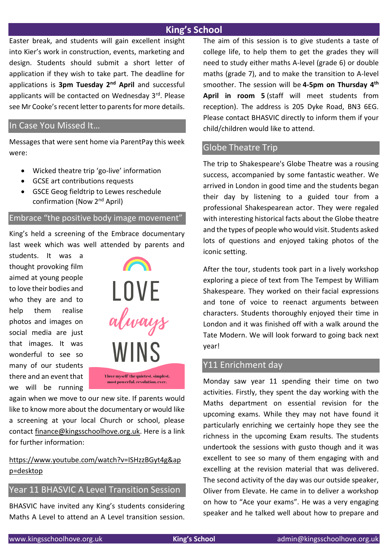# **King's School**

Easter break, and students will gain excellent insight into Kier's work in construction, events, marketing and design. Students should submit a short letter of application if they wish to take part. The deadline for applications is **3pm Tuesday 2nd April** and successful applicants will be contacted on Wednesday 3rd. Please see Mr Cooke's recent letter to parents for more details.

### In Case You Missed It…

Messages that were sent home via ParentPay this week were:

- Wicked theatre trip 'go-live' information
- GCSE art contributions requests
- GSCE Geog fieldtrip to Lewes reschedule confirmation (Now 2nd April)

#### Embrace "the positive body image movement"

King's held a screening of the Embrace documentary last week which was well attended by parents and

students. It was a thought provoking film aimed at young people to love their bodies and who they are and to help them realise photos and images on social media are just that images. It was wonderful to see so many of our students there and an event that we will be running



again when we move to our new site. If parents would like to know more about the documentary or would like a screening at your local Church or school, please contact [finance@kingsschoolhove.org.uk.](mailto:finance@kingsschoolhove.org.uk) Here is a link for further information:

# [https://www.youtube.com/watch?v=ISHzzBGyt4g&ap](https://www.youtube.com/watch?v=ISHzzBGyt4g&app=desktop) [p=desktop](https://www.youtube.com/watch?v=ISHzzBGyt4g&app=desktop)

## Year 11 BHASVIC A Level Transition Session

BHASVIC have invited any King's students considering Maths A Level to attend an A Level transition session. The aim of this session is to give students a taste of college life, to help them to get the grades they will need to study either maths A-level (grade 6) or double maths (grade 7), and to make the transition to A-level smoother. The session will be **4-5pm on Thursday 4th April in room 5** (staff will meet students from reception). The address is 205 Dyke Road, BN3 6EG. Please contact BHASVIC directly to inform them if your child/children would like to attend.

## Globe Theatre Trip

The trip to Shakespeare's Globe Theatre was a rousing success, accompanied by some fantastic weather. We arrived in London in good time and the students began their day by listening to a guided tour from a professional Shakespearean actor. They were regaled with interesting historical facts about the Globe theatre and the types of people who would visit. Students asked lots of questions and enjoyed taking photos of the iconic setting.

After the tour, students took part in a lively workshop exploring a piece of text from The Tempest by William Shakespeare. They worked on their facial expressions and tone of voice to reenact arguments between characters. Students thoroughly enjoyed their time in London and it was finished off with a walk around the Tate Modern. We will look forward to going back next year!

#### Y11 Enrichment day

Monday saw year 11 spending their time on two activities. Firstly, they spent the day working with the Maths department on essential revision for the upcoming exams. While they may not have found it particularly enriching we certainly hope they see the richness in the upcoming Exam results. The students undertook the sessions with gusto though and it was excellent to see so many of them engaging with and excelling at the revision material that was delivered. The second activity of the day was our outside speaker, Oliver from Elevate. He came in to deliver a workshop on how to "Ace your exams". He was a very engaging speaker and he talked well about how to prepare and